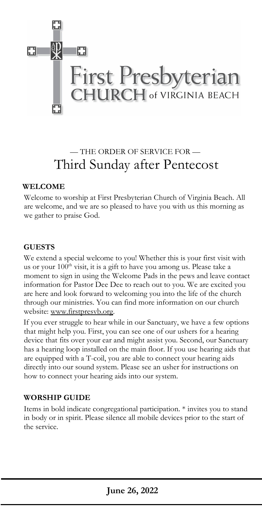

## — THE ORDER OF SERVICE FOR — Third Sunday after Pentecost

## **WELCOME**

Welcome to worship at First Presbyterian Church of Virginia Beach. All are welcome, and we are so pleased to have you with us this morning as we gather to praise God.

## **GUESTS**

We extend a special welcome to you! Whether this is your first visit with us or your 100<sup>th</sup> visit, it is a gift to have you among us. Please take a moment to sign in using the Welcome Pads in the pews and leave contact information for Pastor Dee Dee to reach out to you. We are excited you are here and look forward to welcoming you into the life of the church through our ministries. You can find more information on our church website: [www.firstpresvb.org.](http://www.firstpresvb.org/)

 If you ever struggle to hear while in our Sanctuary, we have a few options that might help you. First, you can see one of our ushers for a hearing device that fits over your ear and might assist you. Second, our Sanctuary has a hearing loop installed on the main floor. If you use hearing aids that are equipped with a T-coil, you are able to connect your hearing aids directly into our sound system. Please see an usher for instructions on how to connect your hearing aids into our system.

## **WORSHIP GUIDE**

Items in bold indicate congregational participation. \* invites you to stand in body or in spirit. Please silence all mobile devices prior to the start of the service.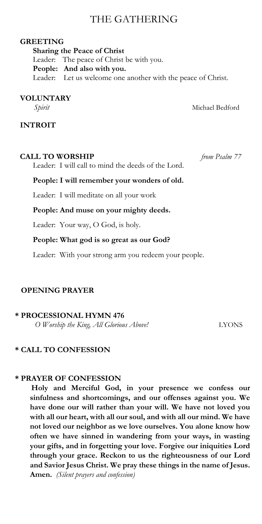## THE GATHERING

#### **GREETING**

 **Sharing the Peace of Christ** Leader: The peace of Christ be with you. **People: And also with you.** Leader: Let us welcome one another with the peace of Christ.

#### **VOLUNTARY**

*Spirit* Michael Bedford

**INTROIT** 

## **CALL TO WORSHIP** *from Psalm 77*

Leader: I will call to mind the deeds of the Lord.

## **People: I will remember your wonders of old.**

Leader: I will meditate on all your work

#### **People: And muse on your mighty deeds.**

Leader: Your way, O God, is holy.

## **People: What god is so great as our God?**

Leader: With your strong arm you redeem your people.

## **OPENING PRAYER**

## **\* PROCESSIONAL HYMN 476**

*O Worship the King, All Glorious Above!* LYONS

## **\* CALL TO CONFESSION**

## **\* PRAYER OF CONFESSION**

**Holy and Merciful God, in your presence we confess our sinfulness and shortcomings, and our offenses against you. We have done our will rather than your will. We have not loved you with all our heart, with all our soul, and with all our mind. We have not loved our neighbor as we love ourselves. You alone know how often we have sinned in wandering from your ways, in wasting your gifts, and in forgetting your love. Forgive our iniquities Lord through your grace. Reckon to us the righteousness of our Lord and Savior Jesus Christ. We pray these things in the name of Jesus. Amen.** *(Silent prayers and confession)*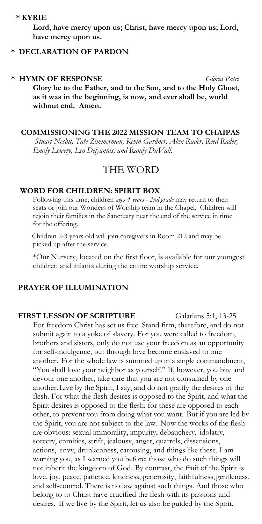#### **\* KYRIE**

**Lord, have mercy upon us; Christ, have mercy upon us; Lord, have mercy upon us.**

## **\* DECLARATION OF PARDON**

#### **\* HYMN OF RESPONSE** *Gloria Patri*

**Glory be to the Father, and to the Son, and to the Holy Ghost, as it was in the beginning, is now, and ever shall be, world without end. Amen.** 

## **COMMISSIONING THE 2022 MISSION TEAM TO CHAIPAS**

*Stuart Nesbit, Tate Zimmerman, Kevin Gardner, Alex Rader, Reed Rader, Emily Lowery, Leo Delyannis, and Randy DuVall.*

## THE WORD

#### **WORD FOR CHILDREN: SPIRIT BOX**

Following this time, children *ages 4 years - 2nd grade* may return to their seats or join our Wonders of Worship team in the Chapel. Children will rejoin their families in the Sanctuary near the end of the service in time for the offering.

Children 2-3 years old will join caregivers in Room 212 and may be picked up after the service.

\*Our Nursery, located on the first floor, is available for our youngest children and infants during the entire worship service.

#### **PRAYER OF ILLUMINATION**

#### **FIRST LESSON OF SCRIPTURE** Galatians 5:1, 13-25

For freedom Christ has set us free. Stand firm, therefore, and do not submit again to a yoke of slavery. For you were called to freedom, brothers and sisters, only do not use your freedom as an opportunity for self-indulgence, but through love become enslaved to one another. For the whole law is summed up in a single commandment, "You shall love your neighbor as yourself." If, however, you bite and devour one another, take care that you are not consumed by one another. Live by the Spirit, I say, and do not gratify the desires of the flesh. For what the flesh desires is opposed to the Spirit, and what the Spirit desires is opposed to the flesh, for these are opposed to each other, to prevent you from doing what you want. But if you are led by the Spirit, you are not subject to the law. Now the works of the flesh are obvious: sexual immorality, impurity, debauchery, idolatry, sorcery, enmities, strife, jealousy, anger, quarrels, dissensions, actions, envy, drunkenness, carousing, and things like these. I am warning you, as I warned you before: those who do such things will not inherit the kingdom of God. By contrast, the fruit of the Spirit is love, joy, peace, patience, kindness, generosity, faithfulness, gentleness, and self-control. There is no law against such things. And those who belong to to Christ have crucified the flesh with its passions and desires. If we live by the Spirit, let us also be guided by the Spirit.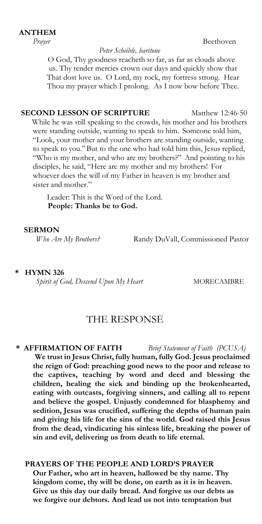## **ANTHEM**

#### *Peter Scheible, baritone*

*Prayer* **Beethoven** 

 O God, Thy goodness reacheth so far, as far as clouds above us. Thy tender mercies crown our days and quickly show that That dost love us. O Lord, my rock, my fortress strong. Hear Thou my prayer which I prolong. As I now bow before Thee.

## **SECOND LESSON OF SCRIPTURE** Matthew 12:46-50

While he was still speaking to the crowds, his mother and his brothers were standing outside, wanting to speak to him. Someone told him, "Look, your mother and your brothers are standing outside, wanting to speak to you."But to the one who had told him this, Jesus replied, "Who is my mother, and who are my brothers?" And pointing to his disciples, he said, "Here are my mother and my brothers! For whoever does the will of my Father in heaven is my brother and sister and mother."

Leader: This is the Word of the Lord. **People: Thanks be to God.** 

#### **SERMON**

*Who Are My Brothers?* Randy DuVall, Commissioned Pastor

## **\* HYMN 326**

*Spirit of God, Descend Upon My Heart* MORECAMBRE

## THE RESPONSE

 **\* AFFIRMATION OF FAITH** *Brief Statement of Faith (PCUSA)*  **We trust in Jesus Christ, fully human, fully God. Jesus proclaimed the reign of God: preaching good news to the poor and release to the captives, teaching by word and deed and blessing the children, healing the sick and binding up the brokenhearted,** 

**eating with outcasts, forgiving sinners, and calling all to repent and believe the gospel. Unjustly condemned for blasphemy and sedition, Jesus was crucified, suffering the depths of human pain and giving his life for the sins of the world. God raised this Jesus from the dead, vindicating his sinless life, breaking the power of sin and evil, delivering us from death to life eternal.**

## **PRAYERS OF THE PEOPLE AND LORD'S PRAYER**

**Our Father, who art in heaven, hallowed be thy name. Thy kingdom come, thy will be done, on earth as it is in heaven. Give us this day our daily bread. And forgive us our debts as we forgive our debtors. And lead us not into temptation but**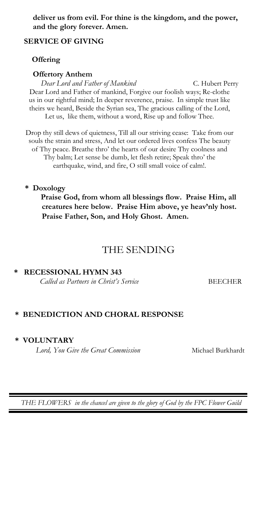**deliver us from evil. For thine is the kingdom, and the power, and the glory forever. Amen.** 

## **SERVICE OF GIVING**

## **Offering**

#### **Offertory Anthem**

Dear Lord and Father of Mankind **C. Hubert Perry** Dear Lord and Father of mankind, Forgive our foolish ways; Re-clothe us in our rightful mind; In deeper reverence, praise. In simple trust like theirs we heard, Beside the Syrian sea, The gracious calling of the Lord, Let us, like them, without a word, Rise up and follow Thee.

Drop thy still dews of quietness, Till all our striving cease: Take from our souls the strain and stress, And let our ordered lives confess The beauty of Thy peace. Breathe thro' the hearts of our desire Thy coolness and Thy balm; Let sense be dumb, let flesh retire; Speak thro' the earthquake, wind, and fire, O still small voice of calm!.

#### **\* Doxology**

 **Praise God, from whom all blessings flow. Praise Him, all creatures here below. Praise Him above, ye heav'nly host. Praise Father, Son, and Holy Ghost. Amen.**

## THE SENDING

## **\* RECESSIONAL HYMN 343**

*Called as Partners in Christ's Service* BEECHER

## **\* BENEDICTION AND CHORAL RESPONSE**

#### **\* VOLUNTARY**

*Lord, You Give the Great Commission* Michael Burkhardt

*THE FLOWERS in the chancel are given to the glory of God by the FPC Flower Guild*